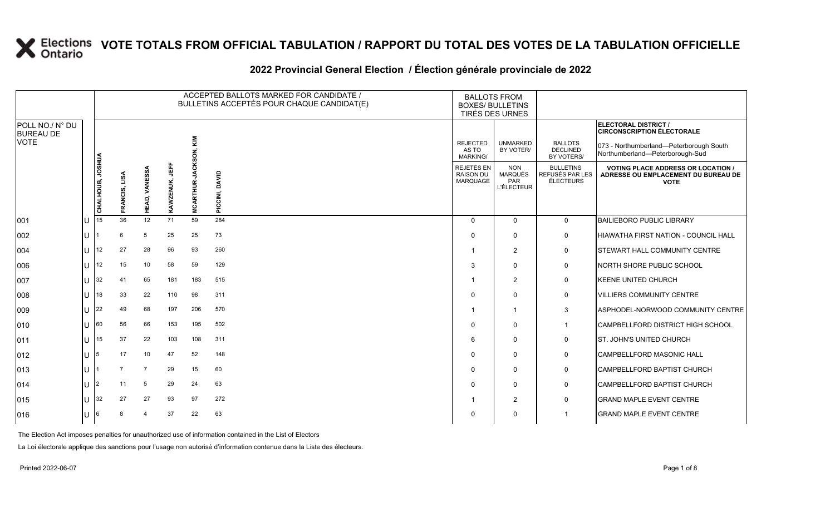#### **2022 Provincial General Election / Élection générale provinciale de 2022**

|                                     |              | ACCEPTED BALLOTS MARKED FOR CANDIDATE /<br>BULLETINS ACCEPTÉS POUR CHAQUE CANDIDAT(E) |                |                |                                |                      |                   | <b>BALLOTS FROM</b>                               | <b>BOXES/ BULLETINS</b><br>TIRÉS DES URNES               |                                                  |                                                                                                 |
|-------------------------------------|--------------|---------------------------------------------------------------------------------------|----------------|----------------|--------------------------------|----------------------|-------------------|---------------------------------------------------|----------------------------------------------------------|--------------------------------------------------|-------------------------------------------------------------------------------------------------|
| POLL NO./ N° DU<br><b>BUREAU DE</b> |              |                                                                                       |                |                |                                |                      |                   |                                                   |                                                          |                                                  | ELECTORAL DISTRICT /<br><b>CIRCONSCRIPTION ÉLECTORALE</b>                                       |
| <b>VOTE</b>                         |              |                                                                                       |                |                |                                | KIM                  |                   | <b>REJECTED</b><br>AS TO<br>MARKING/              | <b>UNMARKED</b><br>BY VOTER/                             | <b>BALLOTS</b><br><b>DECLINED</b><br>BY VOTERS/  | 073 - Northumberland-Peterborough South<br>Northumberland-Peterborough-Sud                      |
|                                     |              | CHALHOUB, JOSHUA                                                                      | FRANCIS, LISA  | HEAD, VANESSA  | <b>UEF</b><br><b>KAWZENUK,</b> | <b>MCARTHUR-JACK</b> | DAVID<br>PICCINI, | REJETÉS EN<br><b>RAISON DU</b><br><b>MARQUAGE</b> | <b>NON</b><br><b>MARQUÉS</b><br>PAR<br><b>L'ÉLECTEUR</b> | <b>BULLETINS</b><br>REFUSÉS PAR LES<br>ÉLECTEURS | <b>VOTING PLACE ADDRESS OR LOCATION /</b><br>ADRESSE OU EMPLACEMENT DU BUREAU DE<br><b>VOTE</b> |
| 001                                 | $\cup$       | 15                                                                                    | 36             | 12             | 71                             | 59                   | 284               | $\Omega$                                          | $\Omega$                                                 | $\mathbf 0$                                      | <b>BAILIEBORO PUBLIC LIBRARY</b>                                                                |
| 002                                 | ΠT           |                                                                                       | 6              | 5              | 25                             | 25                   | 73                | $\Omega$                                          | $\Omega$                                                 | 0                                                | HIAWATHA FIRST NATION - COUNCIL HALL                                                            |
| 004                                 | ΙU           | 12                                                                                    | 27             | 28             | 96                             | 93                   | 260               | -1                                                | $\overline{2}$                                           | 0                                                | <b>STEWART HALL COMMUNITY CENTRE</b>                                                            |
| 006                                 | $\mathbf{U}$ | 12                                                                                    | 15             | 10             | 58                             | 59                   | 129               | 3                                                 | $\Omega$                                                 | $\mathbf 0$                                      | NORTH SHORE PUBLIC SCHOOL                                                                       |
| 007                                 | U            | 32                                                                                    | 41             | 65             | 181                            | 183                  | 515               |                                                   | 2                                                        | 0                                                | <b>KEENE UNITED CHURCH</b>                                                                      |
| 008                                 | lΗ           | 18                                                                                    | 33             | 22             | 110                            | 98                   | 311               | $\Omega$                                          | $\Omega$                                                 | $\mathbf 0$                                      | <b>VILLIERS COMMUNITY CENTRE</b>                                                                |
| 009                                 | $\mathbf{U}$ | 22                                                                                    | 49             | 68             | 197                            | 206                  | 570               |                                                   | -1                                                       | 3                                                | ASPHODEL-NORWOOD COMMUNITY CENTRE                                                               |
| 010                                 | U            | 60                                                                                    | 56             | 66             | 153                            | 195                  | 502               | $\Omega$                                          | $\Omega$                                                 | $\mathbf{1}$                                     | CAMPBELLFORD DISTRICT HIGH SCHOOL                                                               |
| 011                                 | ΠT           | 15                                                                                    | 37             | 22             | 103                            | 108                  | 311               | 6                                                 | $\Omega$                                                 | $\mathbf 0$                                      | <b>ST. JOHN'S UNITED CHURCH</b>                                                                 |
| $ 012\rangle$                       | U            | 5                                                                                     | 17             | 10             | 47                             | 52                   | 148               | $\Omega$                                          | $\Omega$                                                 | 0                                                | CAMPBELLFORD MASONIC HALL                                                                       |
| $ 013\rangle$                       | ΠT           |                                                                                       | $\overline{7}$ | $\overline{7}$ | 29                             | 15                   | 60                | $\Omega$                                          | $\Omega$                                                 | $\mathbf 0$                                      | CAMPBELLFORD BAPTIST CHURCH                                                                     |
| $ 014\rangle$                       | U            | 2                                                                                     | 11             | 5              | 29                             | 24                   | 63                | $\Omega$                                          | $\Omega$                                                 | 0                                                | CAMPBELLFORD BAPTIST CHURCH                                                                     |
| 015                                 | lΗ           | 32                                                                                    | 27             | 27             | 93                             | 97                   | 272               |                                                   | $\overline{2}$                                           | $\mathbf 0$                                      | <b>GRAND MAPLE EVENT CENTRE</b>                                                                 |
| 016                                 | lU.          | 6                                                                                     |                | 4              | 37                             | 22                   | 63                | $\Omega$                                          | $\Omega$                                                 | 1                                                | <b>GRAND MAPLE EVENT CENTRE</b>                                                                 |

The Election Act imposes penalties for unauthorized use of information contained in the List of Electors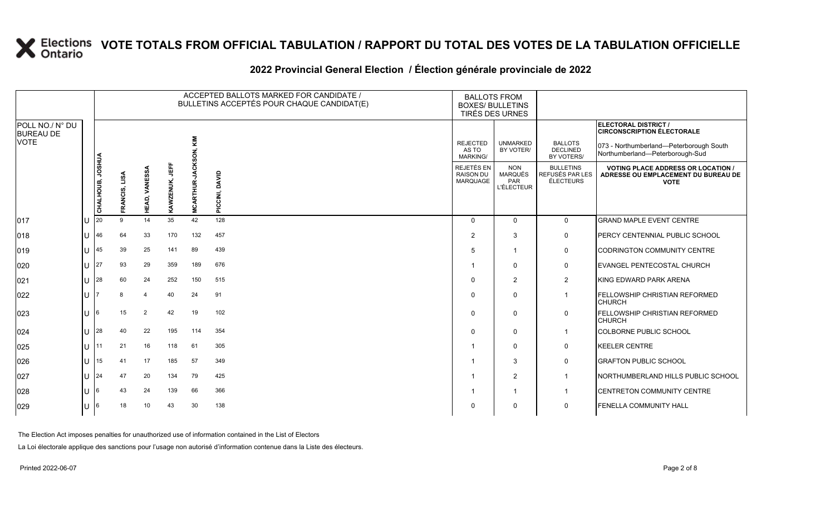#### **2022 Provincial General Election / Élection générale provinciale de 2022**

|                                     |     | ACCEPTED BALLOTS MARKED FOR CANDIDATE /<br>BULLETINS ACCEPTÉS POUR CHAQUE CANDIDAT(E) |               |                  |                |                       |                | <b>BALLOTS FROM</b><br><b>BOXES/ BULLETINS</b><br>TIRÉS DES URNES |                                                          |                                                  |                                                                                                 |
|-------------------------------------|-----|---------------------------------------------------------------------------------------|---------------|------------------|----------------|-----------------------|----------------|-------------------------------------------------------------------|----------------------------------------------------------|--------------------------------------------------|-------------------------------------------------------------------------------------------------|
| POLL NO./ N° DU<br><b>BUREAU DE</b> |     |                                                                                       |               |                  |                |                       |                |                                                                   |                                                          |                                                  | ELECTORAL DISTRICT /<br><b>CIRCONSCRIPTION ÉLECTORALE</b>                                       |
| <b>VOTE</b>                         |     |                                                                                       |               |                  |                | KIM                   |                | <b>REJECTED</b><br>AS TO<br><b>MARKING/</b>                       | <b>UNMARKED</b><br>BY VOTER/                             | <b>BALLOTS</b><br><b>DECLINED</b><br>BY VOTERS/  | 073 - Northumberland-Peterborough South<br>Northumberland-Peterborough-Sud                      |
|                                     |     | CHALHOUB, JOSHUA                                                                      | FRANCIS, LISA | VANESSA<br>HEAD, | KAWZENUK, JEFF | <b>MCARTHUR-JACKS</b> | PICCINI, DAVID | REJETÉS EN<br><b>RAISON DU</b><br><b>MARQUAGE</b>                 | <b>NON</b><br><b>MARQUÉS</b><br>PAR<br><b>L'ÉLECTEUR</b> | <b>BULLETINS</b><br>REFUSÉS PAR LES<br>ÉLECTEURS | <b>VOTING PLACE ADDRESS OR LOCATION /</b><br>ADRESSE OU EMPLACEMENT DU BUREAU DE<br><b>VOTE</b> |
| 017                                 | lΠ  | 20                                                                                    | 9             | 14               | 35             | 42                    | 128            | $\Omega$                                                          | $\Omega$                                                 | $\mathbf{0}$                                     | <b>GRAND MAPLE EVENT CENTRE</b>                                                                 |
| 018                                 | lU  | 46                                                                                    | 64            | 33               | 170            | 132                   | 457            | $\overline{2}$                                                    | 3                                                        | $\mathbf 0$                                      | PERCY CENTENNIAL PUBLIC SCHOOL                                                                  |
| $ 019\rangle$                       | ΙU  | 45                                                                                    | 39            | 25               | 141            | 89                    | 439            | 5                                                                 |                                                          | $\mathbf 0$                                      | CODRINGTON COMMUNITY CENTRE                                                                     |
| 020                                 | IU. | 27                                                                                    | 93            | 29               | 359            | 189                   | 676            |                                                                   | $\Omega$                                                 | $\mathsf{O}$                                     | <b>EVANGEL PENTECOSTAL CHURCH</b>                                                               |
| 021                                 | ΙU  | 28                                                                                    | 60            | 24               | 252            | 150                   | 515            | $\mathbf 0$                                                       | $\overline{2}$                                           | $\overline{2}$                                   | KING EDWARD PARK ARENA                                                                          |
| 022                                 | ΙU  |                                                                                       | 8             | $\overline{4}$   | 40             | 24                    | 91             | $\Omega$                                                          | $\Omega$                                                 | $\overline{1}$                                   | <b>FELLOWSHIP CHRISTIAN REFORMED</b><br><b>CHURCH</b>                                           |
| 023                                 | IП  | 6                                                                                     | 15            | 2                | 42             | 19                    | 102            | $\Omega$                                                          | $\Omega$                                                 | $\mathbf 0$                                      | <b>FELLOWSHIP CHRISTIAN REFORMED</b><br><b>CHURCH</b>                                           |
| 024                                 | lθ  | 28                                                                                    | 40            | 22               | 195            | 114                   | 354            | $\Omega$                                                          | $\Omega$                                                 | $\mathbf 1$                                      | <b>COLBORNE PUBLIC SCHOOL</b>                                                                   |
| 025                                 | lu- | 11                                                                                    | 21            | 16               | 118            | 61                    | 305            |                                                                   | 0                                                        | $\mathbf 0$                                      | <b>KEELER CENTRE</b>                                                                            |
| 026                                 | ΙU  | 15                                                                                    | 41            | 17               | 185            | 57                    | 349            |                                                                   | 3                                                        | $\mathbf 0$                                      | <b>GRAFTON PUBLIC SCHOOL</b>                                                                    |
| 027                                 | lu  | 24                                                                                    | 47            | 20               | 134            | 79                    | 425            |                                                                   | $\overline{2}$                                           | $\mathbf 1$                                      | NORTHUMBERLAND HILLS PUBLIC SCHOOL                                                              |
| 028                                 | IU. | 6                                                                                     | 43            | 24               | 139            | 66                    | 366            |                                                                   |                                                          |                                                  | CENTRETON COMMUNITY CENTRE                                                                      |
| 029                                 | lu  | 6                                                                                     | 18            | 10               | 43             | 30                    | 138            | $\Omega$                                                          | $\Omega$                                                 | $\mathbf 0$                                      | <b>FENELLA COMMUNITY HALL</b>                                                                   |

The Election Act imposes penalties for unauthorized use of information contained in the List of Electors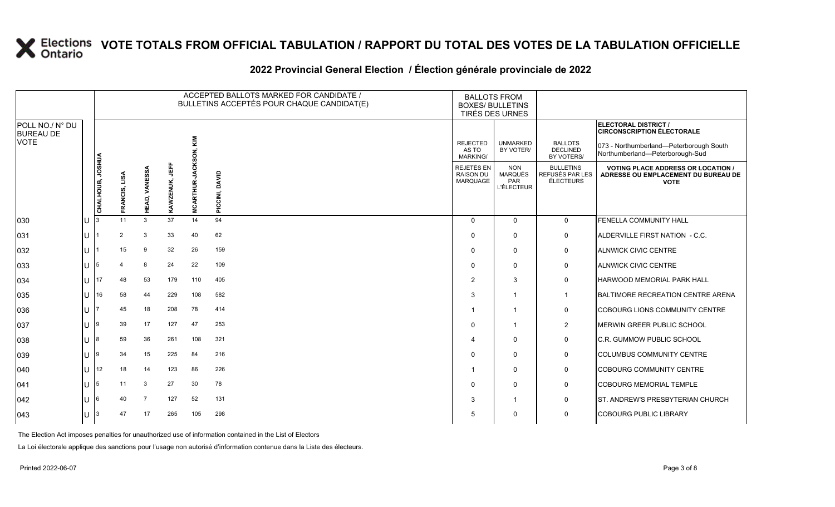### **2022 Provincial General Election / Élection générale provinciale de 2022**

|                                     |                    |                  | ACCEPTED BALLOTS MARKED FOR CANDIDATE /<br><b>BALLOTS FROM</b><br>BULLETINS ACCEPTÉS POUR CHAQUE CANDIDAT(E)<br><b>BOXES/ BULLETINS</b><br>TIRÉS DES URNES |                         |                       |                    |                |                                                   |                                                   |                                                         |                                                                                                 |
|-------------------------------------|--------------------|------------------|------------------------------------------------------------------------------------------------------------------------------------------------------------|-------------------------|-----------------------|--------------------|----------------|---------------------------------------------------|---------------------------------------------------|---------------------------------------------------------|-------------------------------------------------------------------------------------------------|
| POLL NO./ N° DU<br><b>BUREAU DE</b> |                    |                  |                                                                                                                                                            |                         |                       |                    |                |                                                   |                                                   |                                                         | ELECTORAL DISTRICT /<br><b>CIRCONSCRIPTION ÉLECTORALE</b>                                       |
| <b>VOTE</b>                         |                    |                  |                                                                                                                                                            |                         |                       | NIX                |                | <b>REJECTED</b><br>AS TO<br>MARKING/              | <b>UNMARKED</b><br>BY VOTER/                      | <b>BALLOTS</b><br><b>DECLINED</b><br>BY VOTERS/         | 073 - Northumberland-Peterborough South<br>Northumberland-Peterborough-Sud                      |
|                                     |                    | CHALHOUB, JOSHUA | LISA<br>FRANCIS,                                                                                                                                           | <b>VANESSA</b><br>HEAD, | 雪<br><b>KAWZENUK,</b> | <b>RTHURJ</b><br>ే | PICCINI, DAVID | REJETÉS EN<br><b>RAISON DU</b><br><b>MARQUAGE</b> | <b>NON</b><br>MARQUÉS<br>PAR<br><b>L'ÉLECTEUR</b> | <b>BULLETINS</b><br>REFUSÉS PAR LES<br><b>ÉLECTEURS</b> | <b>VOTING PLACE ADDRESS OR LOCATION /</b><br>ADRESSE OU EMPLACEMENT DU BUREAU DE<br><b>VOTE</b> |
| 030                                 | U                  |                  | 11                                                                                                                                                         | 3                       | 37                    | Ž.<br>14           | 94             | $\Omega$                                          | $\Omega$                                          | $\mathbf{0}$                                            | FENELLA COMMUNITY HALL                                                                          |
| 031                                 | lU                 |                  | 2                                                                                                                                                          | 3                       | 33                    | 40                 | 62             | $\Omega$                                          | $\Omega$                                          | $\mathbf 0$                                             | ALDERVILLE FIRST NATION - C.C.                                                                  |
| 032                                 | U                  |                  | 15                                                                                                                                                         | 9                       | 32                    | 26                 | 159            | $\Omega$                                          | $\Omega$                                          | $\mathbf 0$                                             | ALNWICK CIVIC CENTRE                                                                            |
| 033                                 | U                  | 15               |                                                                                                                                                            | 8                       | 24                    | 22                 | 109            | $\Omega$                                          | $\Omega$                                          | $\mathbf 0$                                             | <b>ALNWICK CIVIC CENTRE</b>                                                                     |
| 034                                 | U                  | 17               | 48                                                                                                                                                         | 53                      | 179                   | 110                | 405            | 2                                                 | 3                                                 | 0                                                       | HARWOOD MEMORIAL PARK HALL                                                                      |
| 035                                 | ΠT                 | 16               | 58                                                                                                                                                         | 44                      | 229                   | 108                | 582            | 3                                                 | -1                                                | $\mathbf{1}$                                            | BALTIMORE RECREATION CENTRE ARENA                                                               |
| 036                                 | U                  |                  | 45                                                                                                                                                         | 18                      | 208                   | 78                 | 414            |                                                   |                                                   | $\mathbf 0$                                             | COBOURG LIONS COMMUNITY CENTRE                                                                  |
| 037                                 | U                  | I9               | 39                                                                                                                                                         | 17                      | 127                   | 47                 | 253            | $\Omega$                                          |                                                   | $\overline{2}$                                          | MERWIN GREER PUBLIC SCHOOL                                                                      |
| 038                                 | U                  | 18               | 59                                                                                                                                                         | 36                      | 261                   | 108                | 321            | 4                                                 | $\Omega$                                          | $\mathbf 0$                                             | C.R. GUMMOW PUBLIC SCHOOL                                                                       |
| 039                                 | ΠT                 | l9               | 34                                                                                                                                                         | 15                      | 225                   | 84                 | 216            | $\Omega$                                          | $\Omega$                                          | $\mathbf 0$                                             | <b>COLUMBUS COMMUNITY CENTRE</b>                                                                |
| $ 040\rangle$                       | U                  | 12               | 18                                                                                                                                                         | 14                      | 123                   | 86                 | 226            |                                                   | $\Omega$                                          | $\mathbf 0$                                             | COBOURG COMMUNITY CENTRE                                                                        |
| 041                                 | lU                 | 15               | 11                                                                                                                                                         | 3                       | 27                    | 30                 | 78             | $\Omega$                                          | 0                                                 | 0                                                       | <b>COBOURG MEMORIAL TEMPLE</b>                                                                  |
| $ 042\rangle$                       | U                  | l6               | 40                                                                                                                                                         | $\overline{7}$          | 127                   | 52                 | 131            | 3                                                 |                                                   | $\mathbf 0$                                             | ST. ANDREW'S PRESBYTERIAN CHURCH                                                                |
| $ 043\rangle$                       | $ U $ <sup>3</sup> |                  | 47                                                                                                                                                         | 17                      | 265                   | 105                | 298            | 5                                                 | $\Omega$                                          | 0                                                       | <b>COBOURG PUBLIC LIBRARY</b>                                                                   |

The Election Act imposes penalties for unauthorized use of information contained in the List of Electors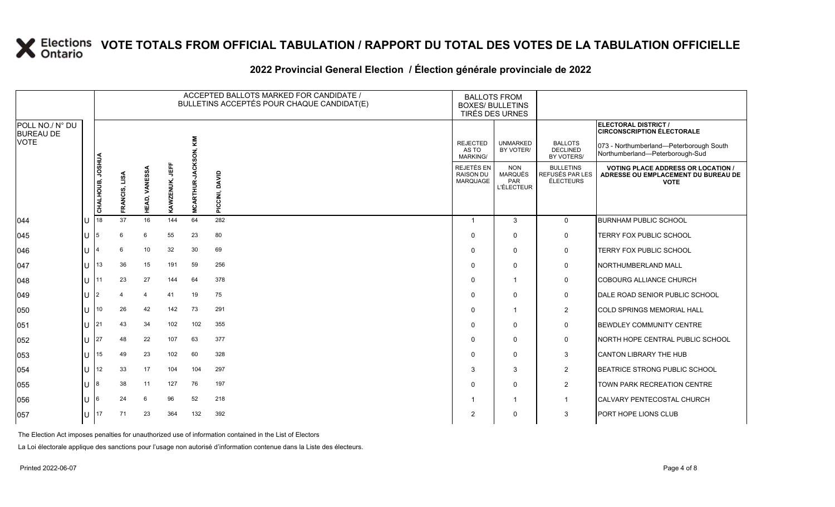### **2022 Provincial General Election / Élection générale provinciale de 2022**

|                                     |          |                  |               |               |                   |                      | ACCEPTED BALLOTS MARKED FOR CANDIDATE /<br>BULLETINS ACCEPTÉS POUR CHAQUE CANDIDAT(E) |                                                   | <b>BALLOTS FROM</b><br><b>BOXES/ BULLETINS</b><br>TIRÉS DES URNES |                                                  |                                                                                                 |
|-------------------------------------|----------|------------------|---------------|---------------|-------------------|----------------------|---------------------------------------------------------------------------------------|---------------------------------------------------|-------------------------------------------------------------------|--------------------------------------------------|-------------------------------------------------------------------------------------------------|
| POLL NO./ N° DU<br><b>BUREAU DE</b> |          |                  |               |               |                   |                      |                                                                                       |                                                   |                                                                   |                                                  | ELECTORAL DISTRICT /<br><b>CIRCONSCRIPTION ÉLECTORALE</b>                                       |
| <b>VOTE</b>                         |          |                  |               |               |                   | <b>KIM</b>           |                                                                                       | <b>REJECTED</b><br>AS TO<br><b>MARKING/</b>       | <b>UNMARKED</b><br>BY VOTER/                                      | <b>BALLOTS</b><br><b>DECLINED</b><br>BY VOTERS/  | 073 - Northumberland-Peterborough South<br>Northumberland-Peterborough-Sud                      |
|                                     |          | CHALHOUB, JOSHUA | FRANCIS, LISA | HEAD, VANESSA | JEFF<br>KAWZENUK, | <b>MCARTHUR-JACK</b> | PICCINI, DAVID                                                                        | <b>REJETÉS EN</b><br><b>RAISON DU</b><br>MARQUAGE | <b>NON</b><br><b>MARQUÉS</b><br>PAR<br><b>L'ÉLECTEUR</b>          | <b>BULLETINS</b><br>REFUSÉS PAR LES<br>ÉLECTEURS | <b>VOTING PLACE ADDRESS OR LOCATION /</b><br>ADRESSE OU EMPLACEMENT DU BUREAU DE<br><b>VOTE</b> |
| 044                                 |          | 18               | 37            | 16            | 144               | 64                   | 282                                                                                   |                                                   | 3                                                                 | $\mathbf 0$                                      | <b>BURNHAM PUBLIC SCHOOL</b>                                                                    |
| 045                                 | U        | 5                | 6             | 6             | 55                | 23                   | 80                                                                                    | $\Omega$                                          | $\Omega$                                                          | 0                                                | TERRY FOX PUBLIC SCHOOL                                                                         |
| 046                                 |          |                  | 6             | 10            | 32                | 30                   | 69                                                                                    | $\Omega$                                          | $\mathbf 0$                                                       | 0                                                | TERRY FOX PUBLIC SCHOOL                                                                         |
| 047                                 | U        | 13               | 36            | 15            | 191               | 59                   | 256                                                                                   | $\Omega$                                          | $\Omega$                                                          | 0                                                | NORTHUMBERLAND MALL                                                                             |
| 048                                 | U        |                  | 23            | 27            | 144               | 64                   | 378                                                                                   | $\Omega$                                          | $\overline{\mathbf{1}}$                                           | 0                                                | COBOURG ALLIANCE CHURCH                                                                         |
| 049                                 | U        |                  |               | 4             | 41                | 19                   | 75                                                                                    | $\Omega$                                          | $\mathbf 0$                                                       | $\mathbf 0$                                      | <b>IDALE ROAD SENIOR PUBLIC SCHOOL</b>                                                          |
| 050                                 | U        | 10               | 26            | 42            | 142               | 73                   | 291                                                                                   | $\Omega$                                          | $\overline{1}$                                                    | $\overline{2}$                                   | <b>COLD SPRINGS MEMORIAL HALL</b>                                                               |
| 051                                 | U        | 21               | 43            | 34            | 102               | 102                  | 355                                                                                   | $\Omega$                                          | $\mathbf{0}$                                                      | 0                                                | <b>BEWDLEY COMMUNITY CENTRE</b>                                                                 |
| 052                                 | U        | 27               | 48            | 22            | 107               | 63                   | 377                                                                                   | $\Omega$                                          | $\mathbf{0}$                                                      | 0                                                | <b>INORTH HOPE CENTRAL PUBLIC SCHOOL</b>                                                        |
| 053                                 | <b>U</b> | 15               | 49            | 23            | 102               | 60                   | 328                                                                                   | $\Omega$                                          | $\Omega$                                                          | 3                                                | CANTON LIBRARY THE HUB                                                                          |
| 054                                 | U        | 12               | 33            | 17            | 104               | 104                  | 297                                                                                   | 3                                                 | 3                                                                 | $\overline{2}$                                   | BEATRICE STRONG PUBLIC SCHOOL                                                                   |
| 055                                 | U        |                  | 38            | 11            | 127               | 76                   | 197                                                                                   | $\Omega$                                          | $\mathbf{0}$                                                      | $\overline{2}$                                   | TOWN PARK RECREATION CENTRE                                                                     |
| 056                                 | U        | 6                | 24            | 6             | 96                | 52                   | 218                                                                                   |                                                   | $\overline{1}$                                                    | $\overline{1}$                                   | CALVARY PENTECOSTAL CHURCH                                                                      |
| 057                                 | U        | 17               | 71            | 23            | 364               | 132                  | 392                                                                                   | 2                                                 | $\mathbf{0}$                                                      | 3                                                | PORT HOPE LIONS CLUB                                                                            |

The Election Act imposes penalties for unauthorized use of information contained in the List of Electors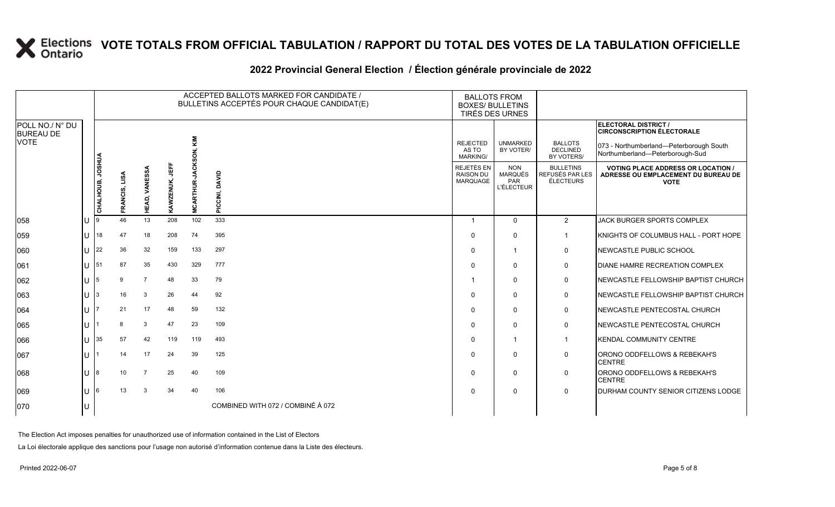### **2022 Provincial General Election / Élection générale provinciale de 2022**

|                                     |    |                  |                  |                         |                       |                              | ACCEPTED BALLOTS MARKED FOR CANDIDATE /<br>BULLETINS ACCEPTÉS POUR CHAQUE CANDIDAT(E) | <b>BALLOTS FROM</b><br><b>BOXES/ BULLETINS</b><br>TIRÉS DES URNES |                                                   |                                                  |                                                                                                 |
|-------------------------------------|----|------------------|------------------|-------------------------|-----------------------|------------------------------|---------------------------------------------------------------------------------------|-------------------------------------------------------------------|---------------------------------------------------|--------------------------------------------------|-------------------------------------------------------------------------------------------------|
| POLL NO./ N° DU<br><b>BUREAU DE</b> |    |                  |                  |                         |                       |                              |                                                                                       |                                                                   |                                                   |                                                  | ELECTORAL DISTRICT /<br><b>CIRCONSCRIPTION ÉLECTORALE</b>                                       |
| <b>VOTE</b>                         |    |                  |                  |                         |                       |                              |                                                                                       | <b>REJECTED</b><br>AS TO<br><b>MARKING/</b>                       | <b>UNMARKED</b><br>BY VOTER/                      | <b>BALLOTS</b><br><b>DECLINED</b><br>BY VOTERS/  | 073 - Northumberland-Peterborough South<br>Northumberland-Peterborough-Sud                      |
|                                     |    | CHALHOUB, JOSHUA | LISA<br>FRANCIS, | <b>VANESSA</b><br>HEAD, | 肯<br><b>KAWZENUK,</b> | š<br><b>ALHUR-JA</b><br>MCAI | PICCINI, DAVID                                                                        | REJETÉS EN<br><b>RAISON DU</b><br><b>MARQUAGE</b>                 | <b>NON</b><br>MARQUÉS<br>PAR<br><b>L'ÉLECTEUR</b> | <b>BULLETINS</b><br>REFUSÉS PAR LES<br>ÉLECTEURS | <b>VOTING PLACE ADDRESS OR LOCATION /</b><br>ADRESSE OU EMPLACEMENT DU BUREAU DE<br><b>VOTE</b> |
| 058                                 | IU |                  | 46               | 13                      | 208                   | 102                          | 333                                                                                   |                                                                   | $\mathbf{0}$                                      | $\overline{2}$                                   | JACK BURGER SPORTS COMPLEX                                                                      |
| 059                                 | ΙU | 18               | 47               | 18                      | 208                   | 74                           | 395                                                                                   | $\Omega$                                                          | $\mathbf{0}$                                      |                                                  | KNIGHTS OF COLUMBUS HALL - PORT HOPE                                                            |
| 060                                 | ΠT | 22               | 36               | 32                      | 159                   | 133                          | 297                                                                                   | $\Omega$                                                          |                                                   | 0                                                | NEWCASTLE PUBLIC SCHOOL                                                                         |
| 061                                 | ΙU | 51               | 87               | 35                      | 430                   | 329                          | 777                                                                                   | $\Omega$                                                          | $\mathbf{0}$                                      | 0                                                | DIANE HAMRE RECREATION COMPLEX                                                                  |
| 062                                 | IU | 5                | 9                | $\overline{7}$          | 48                    | 33                           | 79                                                                                    |                                                                   | $\mathbf{0}$                                      | 0                                                | NEWCASTLE FELLOWSHIP BAPTIST CHURCH                                                             |
| 063                                 | ΠT |                  | 16               | 3                       | 26                    | 44                           | 92                                                                                    | $\Omega$                                                          | 0                                                 | $\mathbf 0$                                      | NEWCASTLE FELLOWSHIP BAPTIST CHURCH                                                             |
| 064                                 | ΙU |                  | 21               | 17                      | 48                    | 59                           | 132                                                                                   | 0                                                                 | 0                                                 | 0                                                | NEWCASTLE PENTECOSTAL CHURCH                                                                    |
| 065                                 | ПT |                  | 8                | 3                       | 47                    | 23                           | 109                                                                                   | $\Omega$                                                          | 0                                                 | $\mathbf 0$                                      | NEWCASTLE PENTECOSTAL CHURCH                                                                    |
| 066                                 | ПT | 35               | 57               | 42                      | 119                   | 119                          | 493                                                                                   | $\Omega$                                                          |                                                   | $\mathbf 1$                                      | <b>KENDAL COMMUNITY CENTRE</b>                                                                  |
| 067                                 | ΙU |                  | 14               | 17                      | 24                    | 39                           | 125                                                                                   | $\Omega$                                                          | $\mathbf{0}$                                      | 0                                                | ORONO ODDFELLOWS & REBEKAH'S<br><b>CENTRE</b>                                                   |
| 068                                 | IU | 8                | 10 <sup>°</sup>  | $\overline{7}$          | 25                    | 40                           | 109                                                                                   | $\mathbf 0$                                                       | 0                                                 | 0                                                | ORONO ODDFELLOWS & REBEKAH'S<br><b>CENTRE</b>                                                   |
| 069                                 | ΙU | 6                | 13               | 3                       | 34                    | 40                           | 106                                                                                   | $\Omega$                                                          | 0                                                 | 0                                                | <b>IDURHAM COUNTY SENIOR CITIZENS LODGE</b>                                                     |
| 070                                 | ΙU |                  |                  |                         |                       |                              | COMBINED WITH 072 / COMBINÉ À 072                                                     |                                                                   |                                                   |                                                  |                                                                                                 |

The Election Act imposes penalties for unauthorized use of information contained in the List of Electors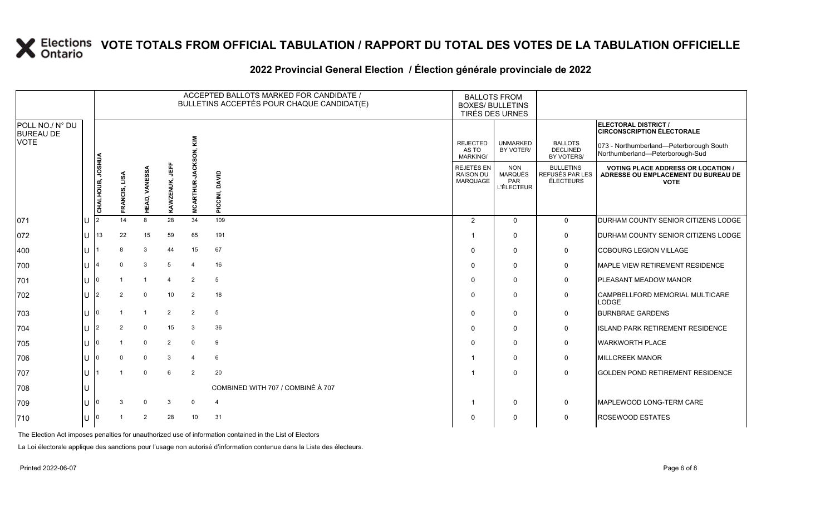### **2022 Provincial General Election / Élection générale provinciale de 2022**

|                                     |     |                  |                |                      |                       | ACCEPTED BALLOTS MARKED FOR CANDIDATE /<br>BULLETINS ACCEPTÉS POUR CHAQUE CANDIDAT(E) | <b>BALLOTS FROM</b><br><b>BOXES/ BULLETINS</b><br>TIRÉS DES URNES |                                             |                                                          |                                                  |                                                                                                 |
|-------------------------------------|-----|------------------|----------------|----------------------|-----------------------|---------------------------------------------------------------------------------------|-------------------------------------------------------------------|---------------------------------------------|----------------------------------------------------------|--------------------------------------------------|-------------------------------------------------------------------------------------------------|
| POLL NO./ N° DU<br><b>BUREAU DE</b> |     |                  |                |                      |                       | <b>KIM</b>                                                                            |                                                                   |                                             |                                                          |                                                  | ELECTORAL DISTRICT /<br><b>CIRCONSCRIPTION ÉLECTORALE</b>                                       |
| <b>VOTE</b>                         |     |                  |                |                      |                       |                                                                                       |                                                                   | <b>REJECTED</b><br>AS TO<br><b>MARKING/</b> | <b>UNMARKED</b><br>BY VOTER/                             | <b>BALLOTS</b><br><b>DECLINED</b><br>BY VOTERS/  | 073 - Northumberland-Peterborough South<br>Northumberland-Peterborough-Sud                      |
|                                     |     | CHALHOUB, JOSHUA | FRANCIS, LISA  | <b>HEAD, VANESSA</b> | 핅<br><b>KAWZENUK,</b> | MCAI                                                                                  | PICCINI, DAVID                                                    | REJETÉS EN<br><b>RAISON DU</b><br>MARQUAGE  | <b>NON</b><br><b>MARQUÉS</b><br>PAR<br><b>L'ÉLECTEUR</b> | <b>BULLETINS</b><br>REFUSÉS PAR LES<br>ÉLECTEURS | <b>VOTING PLACE ADDRESS OR LOCATION /</b><br>ADRESSE OU EMPLACEMENT DU BUREAU DE<br><b>VOTE</b> |
| 071                                 | ΙU  | $\overline{2}$   | 14             | 8                    | 28                    | 34                                                                                    | 109                                                               | 2                                           | $\mathbf{0}$                                             | $\mathbf{0}$                                     | <b>DURHAM COUNTY SENIOR CITIZENS LODGE</b>                                                      |
| 072                                 | lU. | 13               | 22             | 15                   | 59                    | 65                                                                                    | 191                                                               | -1                                          | $\mathbf{0}$                                             | 0                                                | <b>DURHAM COUNTY SENIOR CITIZENS LODGE</b>                                                      |
| 400                                 | lU  |                  | 8              | 3                    | 44                    | 15                                                                                    | 67                                                                | $\Omega$                                    | $\mathbf{0}$                                             | 0                                                | <b>COBOURG LEGION VILLAGE</b>                                                                   |
| 700                                 | Ш   |                  | $\Omega$       | 3                    | 5                     | $\overline{4}$                                                                        | 16                                                                | $\Omega$                                    | $\Omega$                                                 | 0                                                | MAPLE VIEW RETIREMENT RESIDENCE                                                                 |
| 701                                 | ΙU  |                  |                | $\overline{1}$       | $\overline{4}$        | $\overline{2}$                                                                        | $\sqrt{5}$                                                        | $\Omega$                                    | $\Omega$                                                 | 0                                                | PLEASANT MEADOW MANOR                                                                           |
| 702                                 | lU. | $\overline{2}$   | $\overline{2}$ | $\mathbf 0$          | 10                    | $\overline{2}$                                                                        | 18                                                                | $\Omega$                                    | $\mathbf{0}$                                             | 0                                                | CAMPBELLFORD MEMORIAL MULTICARE<br>LODGE                                                        |
| 703                                 | lU  | 0                |                | $\overline{1}$       | 2                     | $\overline{2}$                                                                        | 5                                                                 | $\Omega$                                    | $\mathbf{0}$                                             | 0                                                | <b>BURNBRAE GARDENS</b>                                                                         |
| 704                                 | IU. | 2                | 2              | $\mathbf 0$          | 15                    | 3                                                                                     | 36                                                                | $\Omega$                                    | $\Omega$                                                 | 0                                                | <b>ISLAND PARK RETIREMENT RESIDENCE</b>                                                         |
| 705                                 | lU  |                  |                | $\mathbf 0$          | $\overline{2}$        | $\mathbf 0$                                                                           | 9                                                                 | $\Omega$                                    | $\mathbf{0}$                                             | $\mathbf 0$                                      | <b>WARKWORTH PLACE</b>                                                                          |
| 706                                 | IU. | n                | $\Omega$       | $\mathbf 0$          | 3                     | $\overline{4}$                                                                        | 6                                                                 |                                             | $\Omega$                                                 | $\mathbf 0$                                      | <b>MILLCREEK MANOR</b>                                                                          |
| 707                                 | lU. |                  |                | $\mathbf 0$          | 6                     | $\overline{2}$                                                                        | 20                                                                |                                             | $\Omega$                                                 | $\mathbf{0}$                                     | <b>GOLDEN POND RETIREMENT RESIDENCE</b>                                                         |
| 708                                 | ΙU  |                  |                |                      |                       |                                                                                       | COMBINED WITH 707 / COMBINÉ À 707                                 |                                             |                                                          |                                                  |                                                                                                 |
| 709                                 | Iυ  | 0                |                | $\Omega$             | 3                     | 0                                                                                     | $\overline{4}$                                                    |                                             | $\Omega$                                                 | $\mathsf{O}$                                     | MAPLEWOOD LONG-TERM CARE                                                                        |
| 710                                 | lU  | 0                |                | $\overline{2}$       | 28                    | 10                                                                                    | 31                                                                | $\Omega$                                    | $\Omega$                                                 | 0                                                | <b>ROSEWOOD ESTATES</b>                                                                         |

The Election Act imposes penalties for unauthorized use of information contained in the List of Electors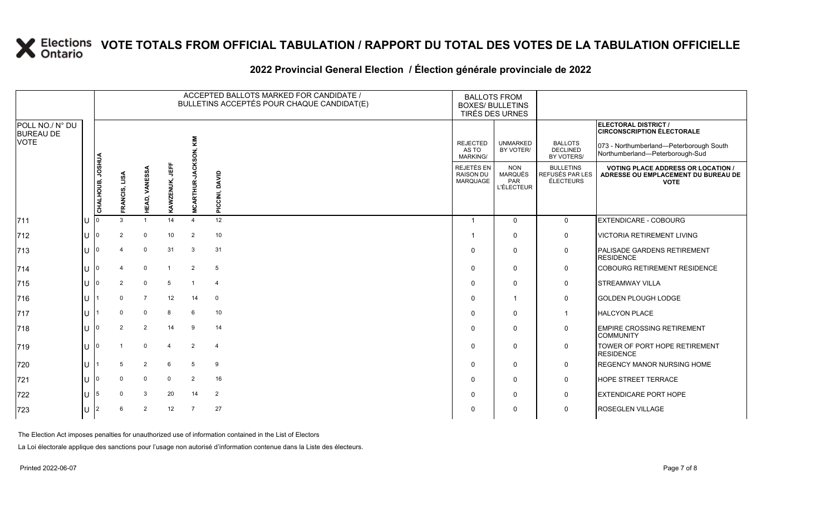### **2022 Provincial General Election / Élection générale provinciale de 2022**

|                                     |                        |                  |               |                |                       |                      | ACCEPTED BALLOTS MARKED FOR CANDIDATE /<br>BULLETINS ACCEPTÉS POUR CHAQUE CANDIDAT(E) | <b>BALLOTS FROM</b><br><b>BOXES/ BULLETINS</b><br>TIRÉS DES URNES |                                                          |                                                  |                                                                                                 |
|-------------------------------------|------------------------|------------------|---------------|----------------|-----------------------|----------------------|---------------------------------------------------------------------------------------|-------------------------------------------------------------------|----------------------------------------------------------|--------------------------------------------------|-------------------------------------------------------------------------------------------------|
| POLL NO./ N° DU<br><b>BUREAU DE</b> |                        |                  |               |                |                       |                      |                                                                                       |                                                                   |                                                          |                                                  | ELECTORAL DISTRICT /<br><b>CIRCONSCRIPTION ÉLECTORALE</b>                                       |
| <b>VOTE</b>                         |                        |                  |               |                |                       | KIM                  |                                                                                       | <b>REJECTED</b><br>AS TO<br><b>MARKING/</b>                       | <b>UNMARKED</b><br>BY VOTER/                             | <b>BALLOTS</b><br><b>DECLINED</b><br>BY VOTERS/  | 073 - Northumberland-Peterborough South<br>Northumberland-Peterborough-Sud                      |
|                                     |                        | CHALHOUB, JOSHUA | FRANCIS, LISA | HEAD, VANESSA  | 肯<br><b>KAWZENUK,</b> | <b>MCARTHUR-JACK</b> | PICCINI, DAVID                                                                        | REJETÉS EN<br><b>RAISON DU</b><br>MARQUAGE                        | <b>NON</b><br><b>MARQUÉS</b><br>PAR<br><b>L'ÉLECTEUR</b> | <b>BULLETINS</b><br>REFUSÉS PAR LES<br>ÉLECTEURS | <b>VOTING PLACE ADDRESS OR LOCATION /</b><br>ADRESSE OU EMPLACEMENT DU BUREAU DE<br><b>VOTE</b> |
|                                     |                        |                  | 3             |                | 14                    |                      | 12                                                                                    | $\overline{1}$                                                    |                                                          |                                                  |                                                                                                 |
| 711                                 | U                      |                  |               |                |                       |                      |                                                                                       |                                                                   | $\Omega$                                                 | $\overline{0}$                                   | <b>EXTENDICARE - COBOURG</b>                                                                    |
| 712                                 | $U$   $\circ$          |                  | 2             | $\mathbf 0$    | 10 <sup>1</sup>       | 2                    | 10                                                                                    |                                                                   | $\mathbf 0$                                              | 0                                                | <b>VICTORIA RETIREMENT LIVING</b>                                                               |
| 713                                 | U                      |                  |               | $\mathbf 0$    | 31                    | $\mathbf{3}$         | 31                                                                                    | $\Omega$                                                          | $\mathbf 0$                                              | $\mathsf 0$                                      | PALISADE GARDENS RETIREMENT<br><b>RESIDENCE</b>                                                 |
| 714                                 | $U$   0                |                  |               | $\mathbf 0$    |                       | $\overline{2}$       | $5\phantom{.0}$                                                                       | $\Omega$                                                          | $\mathbf 0$                                              | 0                                                | <b>COBOURG RETIREMENT RESIDENCE</b>                                                             |
| 715                                 | $U$ $ 0$               |                  | 2             | $\mathbf 0$    | 5                     |                      | $\overline{4}$                                                                        | $\Omega$                                                          | $\mathbf 0$                                              | $\mathsf 0$                                      | <b>STREAMWAY VILLA</b>                                                                          |
| 716                                 | U                      |                  | $\Omega$      | $\overline{7}$ | 12                    | 14                   | $\mathbf 0$                                                                           | $\Omega$                                                          | $\overline{1}$                                           | $\mathbf 0$                                      | <b>GOLDEN PLOUGH LODGE</b>                                                                      |
| 717                                 | U                      |                  | $\mathbf 0$   | $\mathbf 0$    | 8                     | 6                    | 10                                                                                    | $\Omega$                                                          | $\mathbf 0$                                              | $\mathbf{1}$                                     | <b>HALCYON PLACE</b>                                                                            |
| 718                                 | $U$   $\circ$          |                  | 2             | $\overline{2}$ | 14                    | 9                    | 14                                                                                    | $\Omega$                                                          | $\mathbf 0$                                              | 0                                                | <b>EMPIRE CROSSING RETIREMENT</b><br><b>COMMUNITY</b>                                           |
| 719                                 | U $\vert$ 0            |                  |               | $\mathbf 0$    | $\overline{4}$        | $\overline{2}$       | $\overline{4}$                                                                        | $\Omega$                                                          | $\mathbf 0$                                              | 0                                                | TOWER OF PORT HOPE RETIREMENT<br><b>RESIDENCE</b>                                               |
| 720                                 | U                      |                  | 5             | $\overline{2}$ | 6                     | 5                    | 9                                                                                     | $\Omega$                                                          | $\mathbf 0$                                              | $\mathsf{O}$                                     | <b>REGENCY MANOR NURSING HOME</b>                                                               |
| 721                                 | $U$   0                |                  |               | $\mathbf 0$    | 0                     | 2                    | 16                                                                                    | $\Omega$                                                          | $\mathbf 0$                                              | $\mathsf{O}$                                     | HOPE STREET TERRACE                                                                             |
| 722                                 | U $\vert$ <sup>5</sup> |                  | $\mathbf 0$   | 3              | 20                    | 14                   | $\overline{2}$                                                                        | $\Omega$                                                          | $\mathbf 0$                                              | 0                                                | EXTENDICARE PORT HOPE                                                                           |
| 723                                 | U                      | 12               |               | 2              | 12                    | $\overline{7}$       | 27                                                                                    | $\Omega$                                                          | $\mathbf 0$                                              | $\mathbf 0$                                      | <b>ROSEGLEN VILLAGE</b>                                                                         |

The Election Act imposes penalties for unauthorized use of information contained in the List of Electors